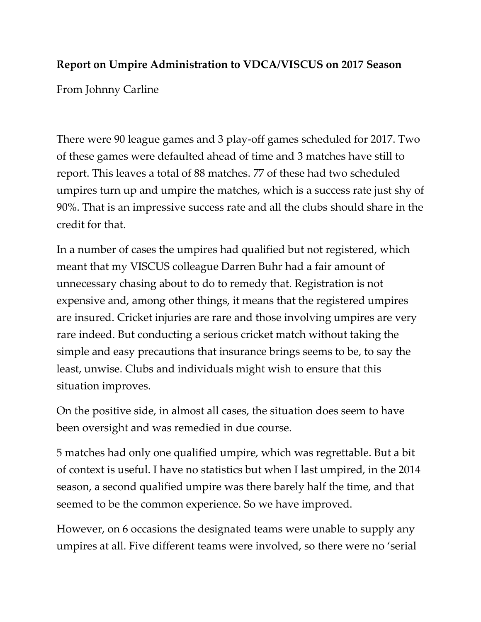## **Report on Umpire Administration to VDCA/VISCUS on 2017 Season**

From Johnny Carline

There were 90 league games and 3 play-off games scheduled for 2017. Two of these games were defaulted ahead of time and 3 matches have still to report. This leaves a total of 88 matches. 77 of these had two scheduled umpires turn up and umpire the matches, which is a success rate just shy of 90%. That is an impressive success rate and all the clubs should share in the credit for that.

In a number of cases the umpires had qualified but not registered, which meant that my VISCUS colleague Darren Buhr had a fair amount of unnecessary chasing about to do to remedy that. Registration is not expensive and, among other things, it means that the registered umpires are insured. Cricket injuries are rare and those involving umpires are very rare indeed. But conducting a serious cricket match without taking the simple and easy precautions that insurance brings seems to be, to say the least, unwise. Clubs and individuals might wish to ensure that this situation improves.

On the positive side, in almost all cases, the situation does seem to have been oversight and was remedied in due course.

5 matches had only one qualified umpire, which was regrettable. But a bit of context is useful. I have no statistics but when I last umpired, in the 2014 season, a second qualified umpire was there barely half the time, and that seemed to be the common experience. So we have improved.

However, on 6 occasions the designated teams were unable to supply any umpires at all. Five different teams were involved, so there were no 'serial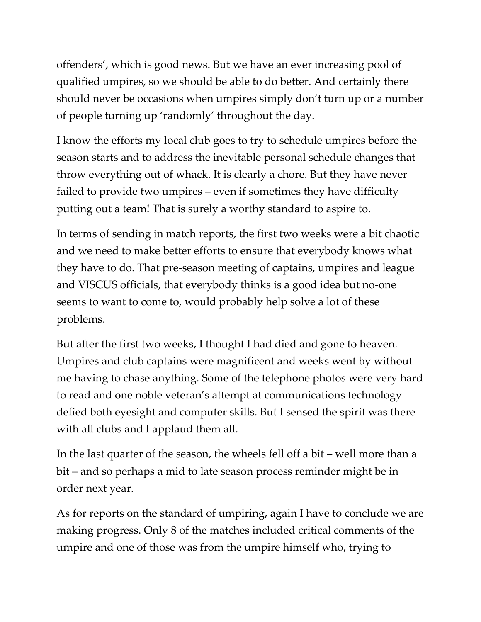offenders', which is good news. But we have an ever increasing pool of qualified umpires, so we should be able to do better. And certainly there should never be occasions when umpires simply don't turn up or a number of people turning up 'randomly' throughout the day.

I know the efforts my local club goes to try to schedule umpires before the season starts and to address the inevitable personal schedule changes that throw everything out of whack. It is clearly a chore. But they have never failed to provide two umpires – even if sometimes they have difficulty putting out a team! That is surely a worthy standard to aspire to.

In terms of sending in match reports, the first two weeks were a bit chaotic and we need to make better efforts to ensure that everybody knows what they have to do. That pre-season meeting of captains, umpires and league and VISCUS officials, that everybody thinks is a good idea but no-one seems to want to come to, would probably help solve a lot of these problems.

But after the first two weeks, I thought I had died and gone to heaven. Umpires and club captains were magnificent and weeks went by without me having to chase anything. Some of the telephone photos were very hard to read and one noble veteran's attempt at communications technology defied both eyesight and computer skills. But I sensed the spirit was there with all clubs and I applaud them all.

In the last quarter of the season, the wheels fell off a bit – well more than a bit – and so perhaps a mid to late season process reminder might be in order next year.

As for reports on the standard of umpiring, again I have to conclude we are making progress. Only 8 of the matches included critical comments of the umpire and one of those was from the umpire himself who, trying to